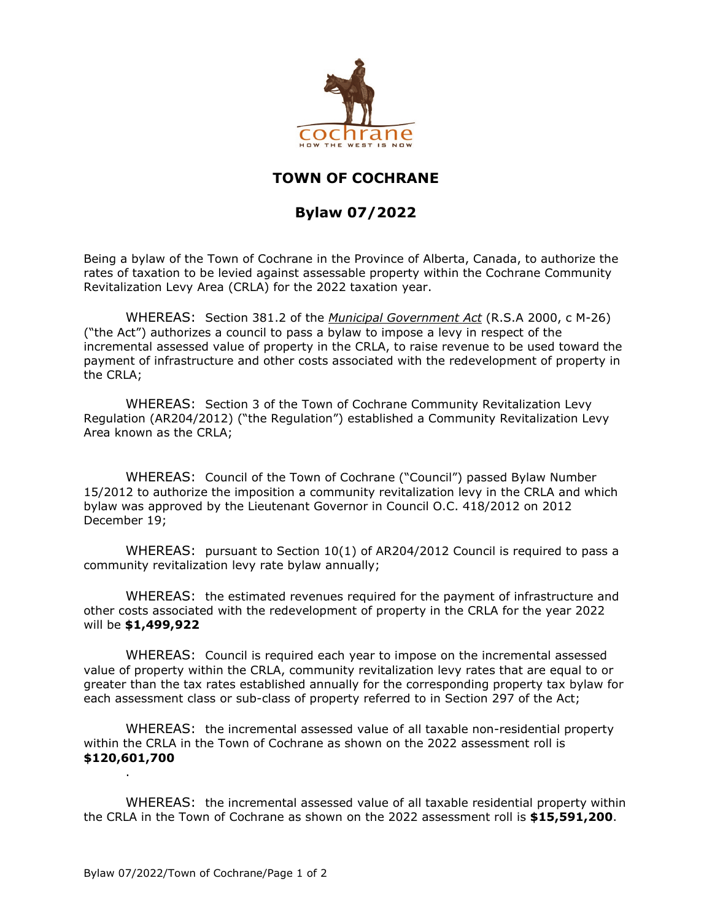

## **TOWN OF COCHRANE**

## **Bylaw 07/2022**

Being a bylaw of the Town of Cochrane in the Province of Alberta, Canada, to authorize the rates of taxation to be levied against assessable property within the Cochrane Community Revitalization Levy Area (CRLA) for the 2022 taxation year.

WHEREAS: Section 381.2 of the *Municipal Government Act* (R.S.A 2000, c M-26) ("the Act") authorizes a council to pass a bylaw to impose a levy in respect of the incremental assessed value of property in the CRLA, to raise revenue to be used toward the payment of infrastructure and other costs associated with the redevelopment of property in the CRLA;

WHEREAS: Section 3 of the Town of Cochrane Community Revitalization Levy Regulation (AR204/2012) ("the Regulation") established a Community Revitalization Levy Area known as the CRLA;

WHEREAS: Council of the Town of Cochrane ("Council") passed Bylaw Number 15/2012 to authorize the imposition a community revitalization levy in the CRLA and which bylaw was approved by the Lieutenant Governor in Council O.C. 418/2012 on 2012 December 19;

WHEREAS: pursuant to Section 10(1) of AR204/2012 Council is required to pass a community revitalization levy rate bylaw annually;

WHEREAS: the estimated revenues required for the payment of infrastructure and other costs associated with the redevelopment of property in the CRLA for the year 2022 will be **\$1,499,922**

WHEREAS: Council is required each year to impose on the incremental assessed value of property within the CRLA, community revitalization levy rates that are equal to or greater than the tax rates established annually for the corresponding property tax bylaw for each assessment class or sub-class of property referred to in Section 297 of the Act;

WHEREAS: the incremental assessed value of all taxable non-residential property within the CRLA in the Town of Cochrane as shown on the 2022 assessment roll is **\$120,601,700** 

WHEREAS: the incremental assessed value of all taxable residential property within the CRLA in the Town of Cochrane as shown on the 2022 assessment roll is **\$15,591,200**.

.